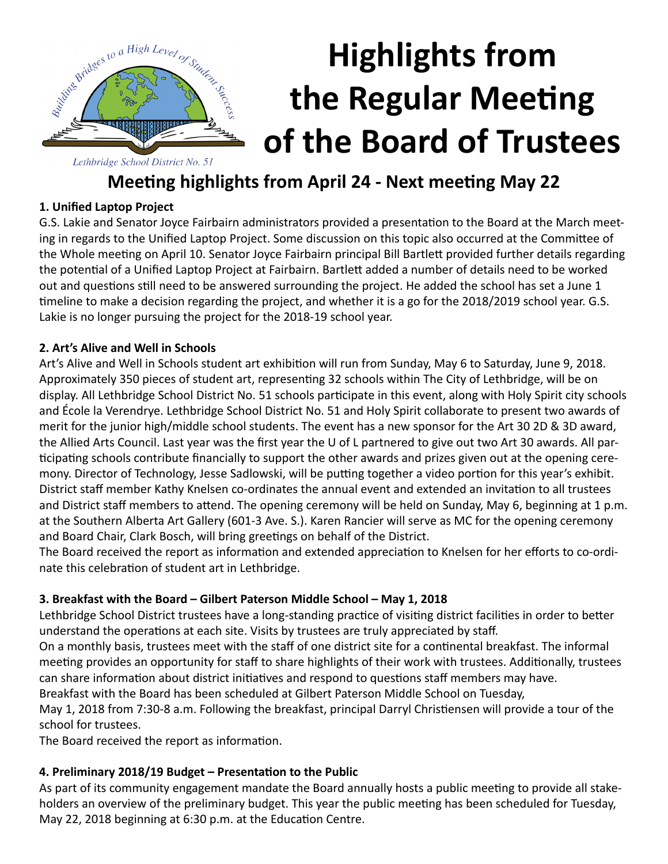

# **Highlights from the Regular Meeting of the Board of Trustees**

### **Meeting highlights from April 24 - Next meeting May 22**

#### **1. Unified Laptop Project**

G.S. Lakie and Senator Joyce Fairbairn administrators provided a presentation to the Board at the March meeting in regards to the Unified Laptop Project. Some discussion on this topic also occurred at the Committee of the Whole meeting on April 10. Senator Joyce Fairbairn principal Bill Bartlett provided further details regarding the potential of a Unified Laptop Project at Fairbairn. Bartlett added a number of details need to be worked out and questions still need to be answered surrounding the project. He added the school has set a June 1 timeline to make a decision regarding the project, and whether it is a go for the 2018/2019 school year. G.S. Lakie is no longer pursuing the project for the 2018-19 school year.

#### **2. Art's Alive and Well in Schools**

Art's Alive and Well in Schools student art exhibition will run from Sunday, May 6 to Saturday, June 9, 2018. Approximately 350 pieces of student art, representing 32 schools within The City of Lethbridge, will be on display. All Lethbridge School District No. 51 schools participate in this event, along with Holy Spirit city schools and École la Verendrye. Lethbridge School District No. 51 and Holy Spirit collaborate to present two awards of merit for the junior high/middle school students. The event has a new sponsor for the Art 30 2D & 3D award, the Allied Arts Council. Last year was the first year the U of L partnered to give out two Art 30 awards. All participating schools contribute financially to support the other awards and prizes given out at the opening ceremony. Director of Technology, Jesse Sadlowski, will be putting together a video portion for this year's exhibit. District staff member Kathy Knelsen co-ordinates the annual event and extended an invitation to all trustees and District staff members to attend. The opening ceremony will be held on Sunday, May 6, beginning at 1 p.m. at the Southern Alberta Art Gallery (601-3 Ave. S.). Karen Rancier will serve as MC for the opening ceremony and Board Chair, Clark Bosch, will bring greetings on behalf of the District.

The Board received the report as information and extended appreciation to Knelsen for her efforts to co-ordinate this celebration of student art in Lethbridge.

#### **3. Breakfast with the Board – Gilbert Paterson Middle School – May 1, 2018**

Lethbridge School District trustees have a long-standing practice of visiting district facilities in order to better understand the operations at each site. Visits by trustees are truly appreciated by staff.

On a monthly basis, trustees meet with the staff of one district site for a continental breakfast. The informal meeting provides an opportunity for staff to share highlights of their work with trustees. Additionally, trustees can share information about district initiatives and respond to questions staff members may have.

Breakfast with the Board has been scheduled at Gilbert Paterson Middle School on Tuesday,

May 1, 2018 from 7:30-8 a.m. Following the breakfast, principal Darryl Christiensen will provide a tour of the school for trustees.

The Board received the report as information.

#### **4. Preliminary 2018/19 Budget – Presentation to the Public**

As part of its community engagement mandate the Board annually hosts a public meeting to provide all stakeholders an overview of the preliminary budget. This year the public meeting has been scheduled for Tuesday, May 22, 2018 beginning at 6:30 p.m. at the Education Centre.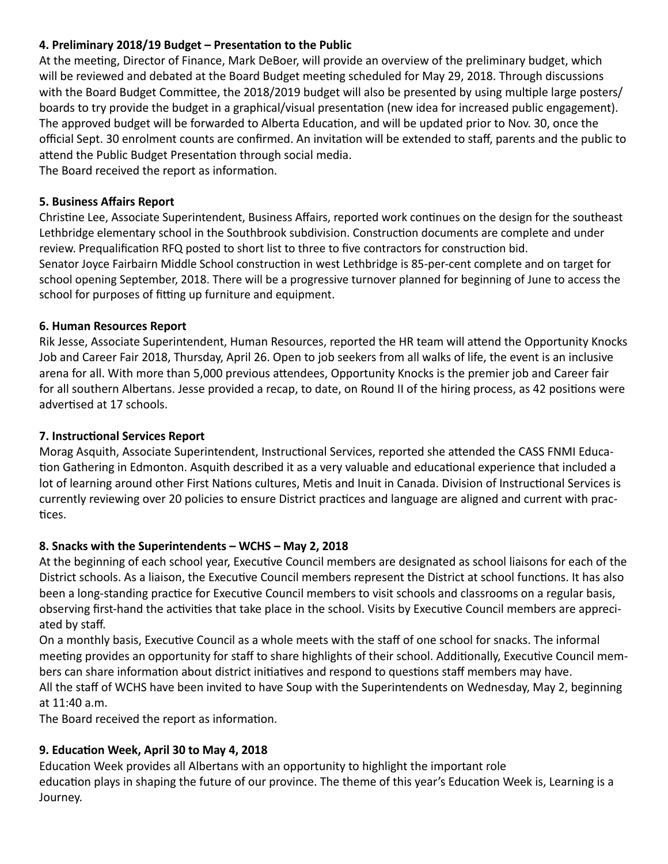#### **4. Preliminary 2018/19 Budget – Presentation to the Public**

At the meeting, Director of Finance, Mark DeBoer, will provide an overview of the preliminary budget, which will be reviewed and debated at the Board Budget meeting scheduled for May 29, 2018. Through discussions with the Board Budget Committee, the 2018/2019 budget will also be presented by using multiple large posters/ boards to try provide the budget in a graphical/visual presentation (new idea for increased public engagement). The approved budget will be forwarded to Alberta Education, and will be updated prior to Nov. 30, once the official Sept. 30 enrolment counts are confirmed. An invitation will be extended to staff, parents and the public to attend the Public Budget Presentation through social media.

The Board received the report as information.

#### **5. Business Affairs Report**

Christine Lee, Associate Superintendent, Business Affairs, reported work continues on the design for the southeast Lethbridge elementary school in the Southbrook subdivision. Construction documents are complete and under review. Prequalification RFQ posted to short list to three to five contractors for construction bid. Senator Joyce Fairbairn Middle School construction in west Lethbridge is 85-per-cent complete and on target for school opening September, 2018. There will be a progressive turnover planned for beginning of June to access the school for purposes of fitting up furniture and equipment.

#### **6. Human Resources Report**

Rik Jesse, Associate Superintendent, Human Resources, reported the HR team will attend the Opportunity Knocks Job and Career Fair 2018, Thursday, April 26. Open to job seekers from all walks of life, the event is an inclusive arena for all. With more than 5,000 previous attendees, Opportunity Knocks is the premier job and Career fair for all southern Albertans. Jesse provided a recap, to date, on Round II of the hiring process, as 42 positions were advertised at 17 schools.

#### **7. Instructional Services Report**

Morag Asquith, Associate Superintendent, Instructional Services, reported she attended the CASS FNMI Education Gathering in Edmonton. Asquith described it as a very valuable and educational experience that included a lot of learning around other First Nations cultures, Metis and Inuit in Canada. Division of Instructional Services is currently reviewing over 20 policies to ensure District practices and language are aligned and current with practices.

#### **8. Snacks with the Superintendents – WCHS – May 2, 2018**

At the beginning of each school year, Executive Council members are designated as school liaisons for each of the District schools. As a liaison, the Executive Council members represent the District at school functions. It has also been a long-standing practice for Executive Council members to visit schools and classrooms on a regular basis, observing first-hand the activities that take place in the school. Visits by Executive Council members are appreciated by staff.

On a monthly basis, Executive Council as a whole meets with the staff of one school for snacks. The informal meeting provides an opportunity for staff to share highlights of their school. Additionally, Executive Council members can share information about district initiatives and respond to questions staff members may have. All the staff of WCHS have been invited to have Soup with the Superintendents on Wednesday, May 2, beginning at 11:40 a.m.

The Board received the report as information.

#### **9. Education Week, April 30 to May 4, 2018**

Education Week provides all Albertans with an opportunity to highlight the important role education plays in shaping the future of our province. The theme of this year's Education Week is, Learning is a Journey.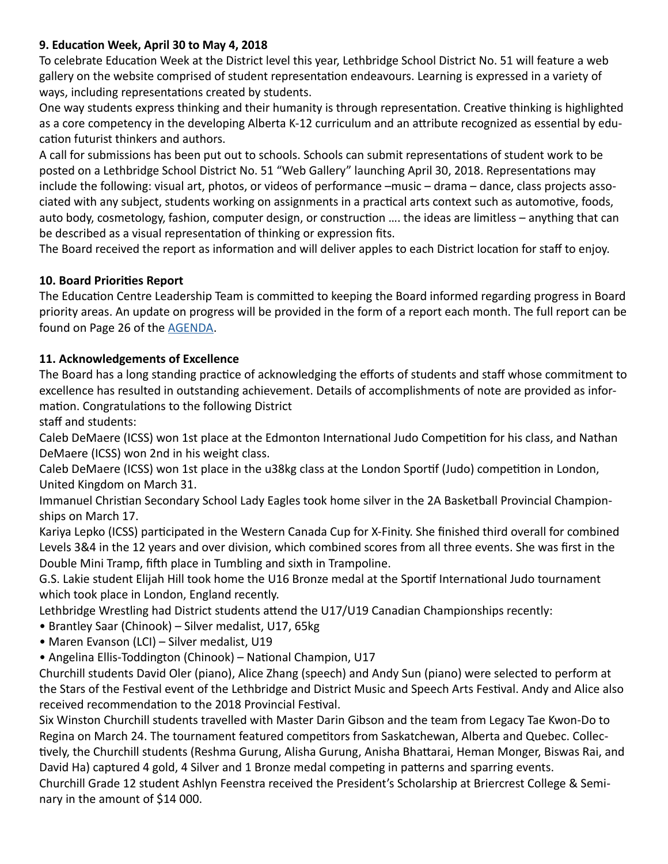#### **9. Education Week, April 30 to May 4, 2018**

To celebrate Education Week at the District level this year, Lethbridge School District No. 51 will feature a web gallery on the website comprised of student representation endeavours. Learning is expressed in a variety of ways, including representations created by students.

One way students express thinking and their humanity is through representation. Creative thinking is highlighted as a core competency in the developing Alberta K-12 curriculum and an attribute recognized as essential by education futurist thinkers and authors.

A call for submissions has been put out to schools. Schools can submit representations of student work to be posted on a Lethbridge School District No. 51 "Web Gallery" launching April 30, 2018. Representations may include the following: visual art, photos, or videos of performance –music – drama – dance, class projects associated with any subject, students working on assignments in a practical arts context such as automotive, foods, auto body, cosmetology, fashion, computer design, or construction …. the ideas are limitless – anything that can be described as a visual representation of thinking or expression fits.

The Board received the report as information and will deliver apples to each District location for staff to enjoy.

#### **10. Board Priorities Report**

The Education Centre Leadership Team is committed to keeping the Board informed regarding progress in Board priority areas. An update on progress will be provided in the form of a report each month. The full report can be found on Page 26 of the [AGENDA](http://www.lethsd.ab.ca/documents/general/2018-04-24%20Board%20Meeting%20Agenda.pdf).

#### **11. Acknowledgements of Excellence**

The Board has a long standing practice of acknowledging the efforts of students and staff whose commitment to excellence has resulted in outstanding achievement. Details of accomplishments of note are provided as information. Congratulations to the following District

staff and students:

Caleb DeMaere (ICSS) won 1st place at the Edmonton International Judo Competition for his class, and Nathan DeMaere (ICSS) won 2nd in his weight class.

Caleb DeMaere (ICSS) won 1st place in the u38kg class at the London Sportif (Judo) competition in London, United Kingdom on March 31.

Immanuel Christian Secondary School Lady Eagles took home silver in the 2A Basketball Provincial Championships on March 17.

Kariya Lepko (ICSS) participated in the Western Canada Cup for X-Finity. She finished third overall for combined Levels 3&4 in the 12 years and over division, which combined scores from all three events. She was first in the Double Mini Tramp, fifth place in Tumbling and sixth in Trampoline.

G.S. Lakie student Elijah Hill took home the U16 Bronze medal at the Sportif International Judo tournament which took place in London, England recently.

Lethbridge Wrestling had District students attend the U17/U19 Canadian Championships recently:

- Brantley Saar (Chinook) Silver medalist, U17, 65kg
- Maren Evanson (LCI) Silver medalist, U19
- Angelina Ellis-Toddington (Chinook) National Champion, U17

Churchill students David Oler (piano), Alice Zhang (speech) and Andy Sun (piano) were selected to perform at the Stars of the Festival event of the Lethbridge and District Music and Speech Arts Festival. Andy and Alice also received recommendation to the 2018 Provincial Festival.

Six Winston Churchill students travelled with Master Darin Gibson and the team from Legacy Tae Kwon-Do to Regina on March 24. The tournament featured competitors from Saskatchewan, Alberta and Quebec. Collectively, the Churchill students (Reshma Gurung, Alisha Gurung, Anisha Bhattarai, Heman Monger, Biswas Rai, and David Ha) captured 4 gold, 4 Silver and 1 Bronze medal competing in patterns and sparring events.

Churchill Grade 12 student Ashlyn Feenstra received the President's Scholarship at Briercrest College & Seminary in the amount of \$14 000.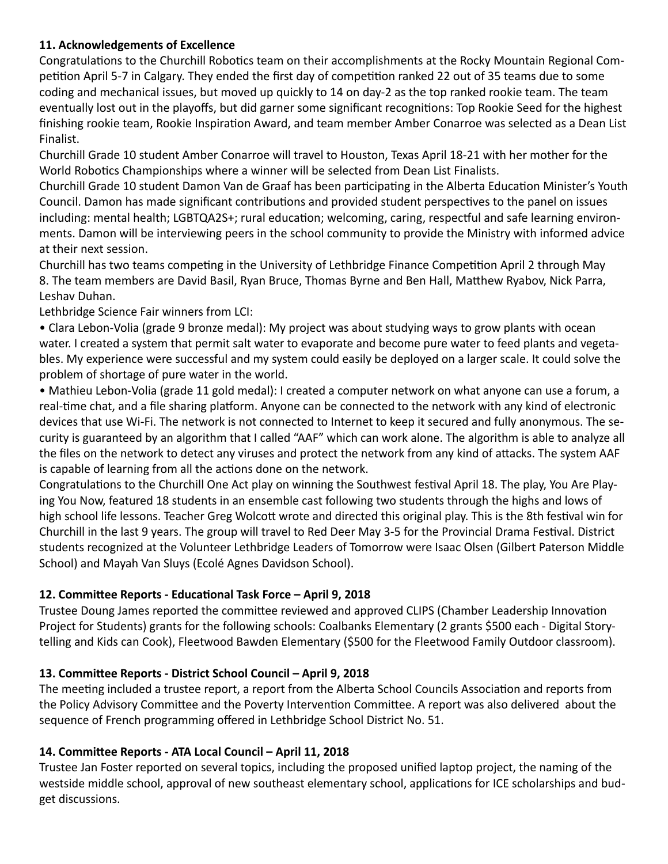#### **11. Acknowledgements of Excellence**

Congratulations to the Churchill Robotics team on their accomplishments at the Rocky Mountain Regional Competition April 5-7 in Calgary. They ended the first day of competition ranked 22 out of 35 teams due to some coding and mechanical issues, but moved up quickly to 14 on day-2 as the top ranked rookie team. The team eventually lost out in the playoffs, but did garner some significant recognitions: Top Rookie Seed for the highest finishing rookie team, Rookie Inspiration Award, and team member Amber Conarroe was selected as a Dean List Finalist.

Churchill Grade 10 student Amber Conarroe will travel to Houston, Texas April 18-21 with her mother for the World Robotics Championships where a winner will be selected from Dean List Finalists.

Churchill Grade 10 student Damon Van de Graaf has been participating in the Alberta Education Minister's Youth Council. Damon has made significant contributions and provided student perspectives to the panel on issues including: mental health; LGBTQA2S+; rural education; welcoming, caring, respectful and safe learning environments. Damon will be interviewing peers in the school community to provide the Ministry with informed advice at their next session.

Churchill has two teams competing in the University of Lethbridge Finance Competition April 2 through May 8. The team members are David Basil, Ryan Bruce, Thomas Byrne and Ben Hall, Matthew Ryabov, Nick Parra, Leshav Duhan.

Lethbridge Science Fair winners from LCI:

• Clara Lebon-Volia (grade 9 bronze medal): My project was about studying ways to grow plants with ocean water. I created a system that permit salt water to evaporate and become pure water to feed plants and vegetables. My experience were successful and my system could easily be deployed on a larger scale. It could solve the problem of shortage of pure water in the world.

• Mathieu Lebon-Volia (grade 11 gold medal): I created a computer network on what anyone can use a forum, a real-time chat, and a file sharing platform. Anyone can be connected to the network with any kind of electronic devices that use Wi-Fi. The network is not connected to Internet to keep it secured and fully anonymous. The security is guaranteed by an algorithm that I called "AAF" which can work alone. The algorithm is able to analyze all the files on the network to detect any viruses and protect the network from any kind of attacks. The system AAF is capable of learning from all the actions done on the network.

Congratulations to the Churchill One Act play on winning the Southwest festival April 18. The play, You Are Playing You Now, featured 18 students in an ensemble cast following two students through the highs and lows of high school life lessons. Teacher Greg Wolcott wrote and directed this original play. This is the 8th festival win for Churchill in the last 9 years. The group will travel to Red Deer May 3-5 for the Provincial Drama Festival. District students recognized at the Volunteer Lethbridge Leaders of Tomorrow were Isaac Olsen (Gilbert Paterson Middle School) and Mayah Van Sluys (Ecolé Agnes Davidson School).

#### **12. Committee Reports - Educational Task Force – April 9, 2018**

Trustee Doung James reported the committee reviewed and approved CLIPS (Chamber Leadership Innovation Project for Students) grants for the following schools: Coalbanks Elementary (2 grants \$500 each - Digital Storytelling and Kids can Cook), Fleetwood Bawden Elementary (\$500 for the Fleetwood Family Outdoor classroom).

#### **13. Committee Reports - District School Council – April 9, 2018**

The meeting included a trustee report, a report from the Alberta School Councils Association and reports from the Policy Advisory Committee and the Poverty Intervention Committee. A report was also delivered about the sequence of French programming offered in Lethbridge School District No. 51.

#### **14. Committee Reports - ATA Local Council – April 11, 2018**

Trustee Jan Foster reported on several topics, including the proposed unified laptop project, the naming of the westside middle school, approval of new southeast elementary school, applications for ICE scholarships and budget discussions.